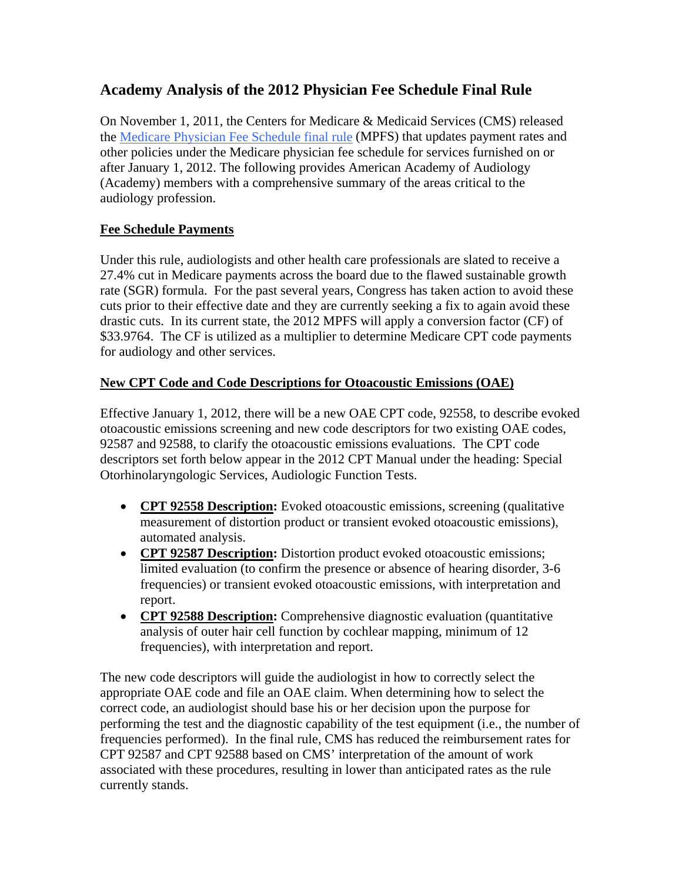# **Academy Analysis of the 2012 Physician Fee Schedule Final Rule**

On November 1, 2011, the Centers for Medicare & Medicaid Services (CMS) released the [Medicare Physician Fee Schedule final rule](http://www.ofr.gov/OFRUpload/OFRData/2011-28597_PI.pdf) (MPFS) that updates payment rates and other policies under the Medicare physician fee schedule for services furnished on or after January 1, 2012. The following provides American Academy of Audiology (Academy) members with a comprehensive summary of the areas critical to the audiology profession.

## **Fee Schedule Payments**

Under this rule, audiologists and other health care professionals are slated to receive a 27.4% cut in Medicare payments across the board due to the flawed sustainable growth rate (SGR) formula. For the past several years, Congress has taken action to avoid these cuts prior to their effective date and they are currently seeking a fix to again avoid these drastic cuts. In its current state, the 2012 MPFS will apply a conversion factor (CF) of \$33.9764. The CF is utilized as a multiplier to determine Medicare CPT code payments for audiology and other services.

### **New CPT Code and Code Descriptions for Otoacoustic Emissions (OAE)**

Effective January 1, 2012, there will be a new OAE CPT code, 92558, to describe evoked otoacoustic emissions screening and new code descriptors for two existing OAE codes, 92587 and 92588, to clarify the otoacoustic emissions evaluations. The CPT code descriptors set forth below appear in the 2012 CPT Manual under the heading: Special Otorhinolaryngologic Services, Audiologic Function Tests.

- **CPT 92558 Description:** Evoked otoacoustic emissions, screening (qualitative measurement of distortion product or transient evoked otoacoustic emissions), automated analysis.
- **CPT 92587 Description:** Distortion product evoked otoacoustic emissions; limited evaluation (to confirm the presence or absence of hearing disorder, 3-6 frequencies) or transient evoked otoacoustic emissions, with interpretation and report.
- **CPT 92588 Description:** Comprehensive diagnostic evaluation (quantitative analysis of outer hair cell function by cochlear mapping, minimum of 12 frequencies), with interpretation and report.

The new code descriptors will guide the audiologist in how to correctly select the appropriate OAE code and file an OAE claim. When determining how to select the correct code, an audiologist should base his or her decision upon the purpose for performing the test and the diagnostic capability of the test equipment (i.e., the number of frequencies performed). In the final rule, CMS has reduced the reimbursement rates for CPT 92587 and CPT 92588 based on CMS' interpretation of the amount of work associated with these procedures, resulting in lower than anticipated rates as the rule currently stands.